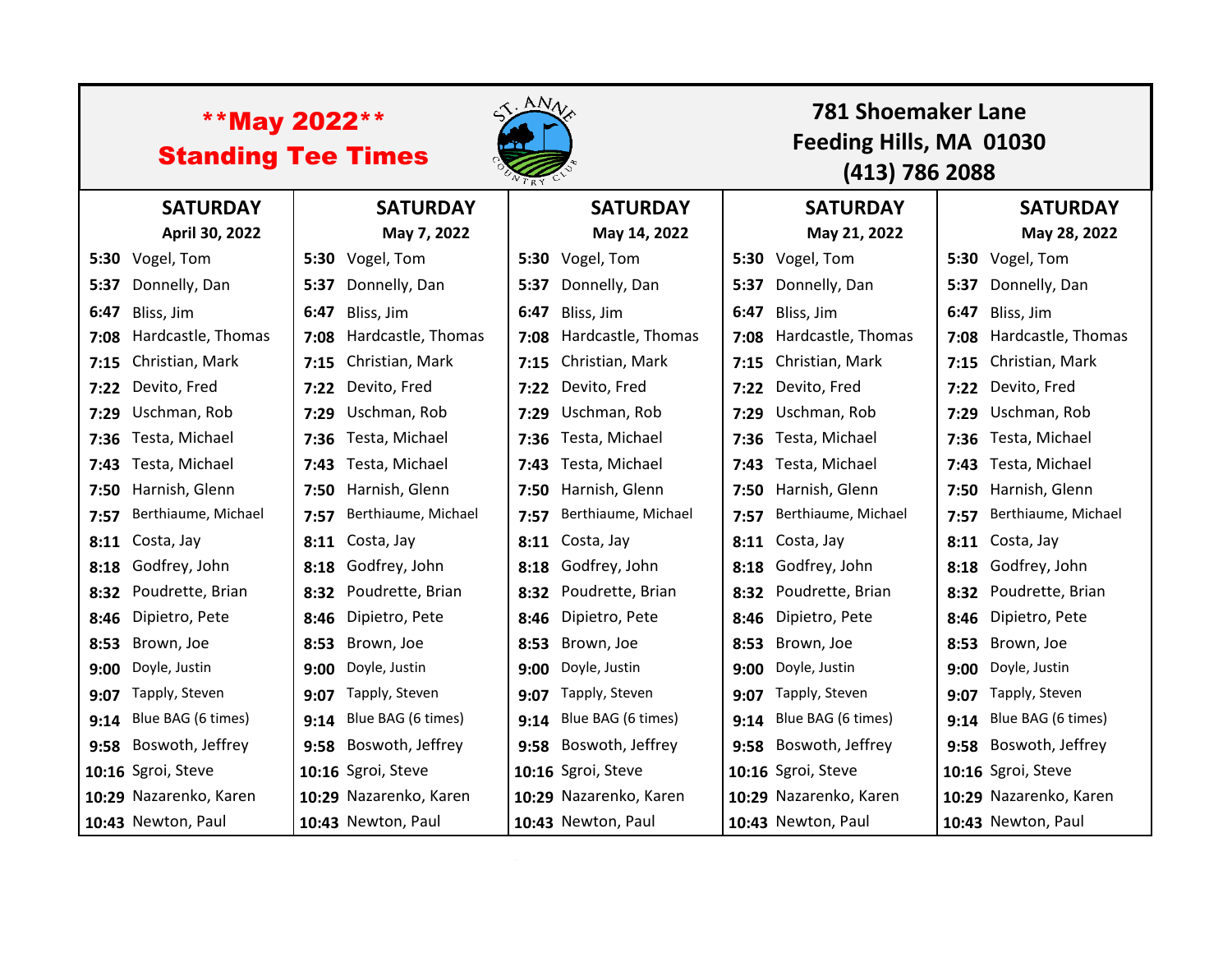| <b>**May 2022**</b><br><b>Standing Tee Times</b> |                        |      |                        | $AN_{V_{\star}}$ |                         |      | <b>781 Shoemaker Lane</b><br>Feeding Hills, MA 01030<br>(413) 786 2088 |      |                         |  |
|--------------------------------------------------|------------------------|------|------------------------|------------------|-------------------------|------|------------------------------------------------------------------------|------|-------------------------|--|
|                                                  | <b>SATURDAY</b>        |      | <b>SATURDAY</b>        |                  | <b>SATURDAY</b>         |      | <b>SATURDAY</b>                                                        |      | <b>SATURDAY</b>         |  |
|                                                  | April 30, 2022         |      | May 7, 2022            |                  | May 14, 2022            |      | May 21, 2022                                                           |      | May 28, 2022            |  |
|                                                  | 5:30 Vogel, Tom        |      | 5:30 Vogel, Tom        |                  | 5:30 Vogel, Tom         |      | 5:30 Vogel, Tom                                                        |      | 5:30 Vogel, Tom         |  |
| 5:37                                             | Donnelly, Dan          | 5:37 | Donnelly, Dan          |                  | 5:37 Donnelly, Dan      | 5:37 | Donnelly, Dan                                                          |      | 5:37 Donnelly, Dan      |  |
| 6:47                                             | Bliss, Jim             | 6:47 | Bliss, Jim             | 6:47             | Bliss, Jim              | 6:47 | Bliss, Jim                                                             | 6:47 | Bliss, Jim              |  |
| 7:08                                             | Hardcastle, Thomas     | 7:08 | Hardcastle, Thomas     |                  | 7:08 Hardcastle, Thomas | 7:08 | Hardcastle, Thomas                                                     |      | 7:08 Hardcastle, Thomas |  |
| 7:15                                             | Christian, Mark        | 7:15 | Christian, Mark        |                  | 7:15 Christian, Mark    | 7:15 | Christian, Mark                                                        |      | 7:15 Christian, Mark    |  |
| 7:22                                             | Devito, Fred           | 7:22 | Devito, Fred           |                  | 7:22 Devito, Fred       | 7:22 | Devito, Fred                                                           |      | 7:22 Devito, Fred       |  |
| 7:29                                             | Uschman, Rob           | 7:29 | Uschman, Rob           |                  | 7:29 Uschman, Rob       | 7:29 | Uschman, Rob                                                           |      | 7:29 Uschman, Rob       |  |
| 7:36                                             | Testa, Michael         | 7:36 | Testa, Michael         | 7:36             | Testa, Michael          | 7:36 | Testa, Michael                                                         |      | 7:36 Testa, Michael     |  |
| 7:43                                             | Testa, Michael         | 7:43 | Testa, Michael         | 7:43             | Testa, Michael          | 7:43 | Testa, Michael                                                         |      | 7:43 Testa, Michael     |  |
| 7:50                                             | Harnish, Glenn         | 7:50 | Harnish, Glenn         |                  | 7:50 Harnish, Glenn     | 7:50 | Harnish, Glenn                                                         |      | 7:50 Harnish, Glenn     |  |
| 7:57                                             | Berthiaume, Michael    | 7:57 | Berthiaume, Michael    | 7:57             | Berthiaume, Michael     | 7:57 | Berthiaume, Michael                                                    | 7:57 | Berthiaume, Michael     |  |
| 8:11                                             | Costa, Jay             | 8:11 | Costa, Jay             | 8:11             | Costa, Jay              | 8:11 | Costa, Jay                                                             |      | 8:11 Costa, Jay         |  |
| 8:18                                             | Godfrey, John          | 8:18 | Godfrey, John          |                  | 8:18 Godfrey, John      | 8:18 | Godfrey, John                                                          |      | 8:18 Godfrey, John      |  |
| 8:32                                             | Poudrette, Brian       | 8:32 | Poudrette, Brian       |                  | 8:32 Poudrette, Brian   | 8:32 | Poudrette, Brian                                                       |      | 8:32 Poudrette, Brian   |  |
| 8:46                                             | Dipietro, Pete         | 8:46 | Dipietro, Pete         |                  | 8:46 Dipietro, Pete     | 8:46 | Dipietro, Pete                                                         |      | 8:46 Dipietro, Pete     |  |
| 8:53                                             | Brown, Joe             | 8:53 | Brown, Joe             | 8:53             | Brown, Joe              | 8:53 | Brown, Joe                                                             |      | 8:53 Brown, Joe         |  |
| 9:00                                             | Doyle, Justin          | 9:00 | Doyle, Justin          | 9:00             | Doyle, Justin           | 9:00 | Doyle, Justin                                                          | 9:00 | Doyle, Justin           |  |
| 9:07                                             | Tapply, Steven         | 9:07 | Tapply, Steven         | 9:07             | Tapply, Steven          | 9:07 | Tapply, Steven                                                         |      | 9:07 Tapply, Steven     |  |
| 9:14                                             | Blue BAG (6 times)     | 9:14 | Blue BAG (6 times)     | 9:14             | Blue BAG (6 times)      | 9:14 | Blue BAG (6 times)                                                     |      | 9:14 Blue BAG (6 times) |  |
| 9:58                                             | Boswoth, Jeffrey       |      | 9:58 Boswoth, Jeffrey  |                  | 9:58 Boswoth, Jeffrey   | 9:58 | Boswoth, Jeffrey                                                       |      | 9:58 Boswoth, Jeffrey   |  |
|                                                  | 10:16 Sgroi, Steve     |      | 10:16 Sgroi, Steve     |                  | 10:16 Sgroi, Steve      |      | 10:16 Sgroi, Steve                                                     |      | 10:16 Sgroi, Steve      |  |
|                                                  | 10:29 Nazarenko, Karen |      | 10:29 Nazarenko, Karen |                  | 10:29 Nazarenko, Karen  |      | 10:29 Nazarenko, Karen                                                 |      | 10:29 Nazarenko, Karen  |  |
|                                                  | 10:43 Newton, Paul     |      | 10:43 Newton, Paul     |                  | 10:43 Newton, Paul      |      | 10:43 Newton, Paul                                                     |      | 10:43 Newton, Paul      |  |